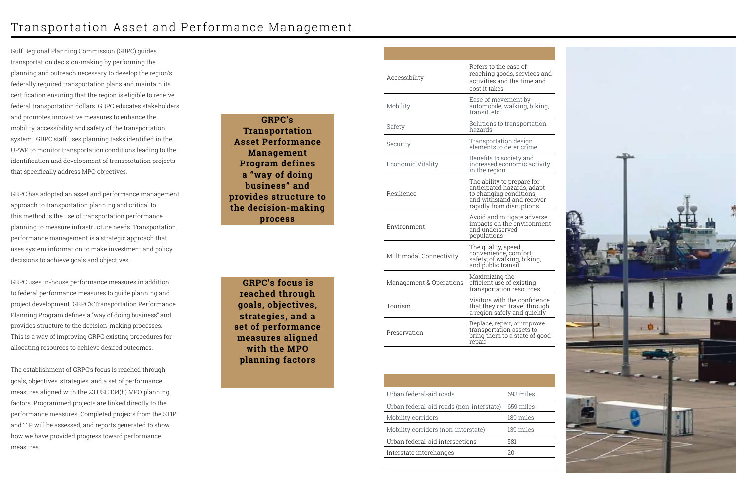## Transportation Asset and Performance Management

Gulf Regional Planning Commission (GRPC) guides transportation decision-making by performing the planning and outreach necessary to develop the region's federally required transportation plans and maintain its certification ensuring that the region is eligible to receive federal transportation dollars. GRPC educates stakeholders and promotes innovative measures to enhance the mobility, accessibility and safety of the transportation system. GRPC staff uses planning tasks identified in the UPWP to monitor transportation conditions leading to the identification and development of transportation projects that specifically address MPO objectives.

GRPC has adopted an asset and performance management approach to transportation planning and critical to this method is the use of transportation performance planning to measure infrastructure needs. Transportation performance management is a strategic approach that uses system information to make investment and policy decisions to achieve goals and objectives.

GRPC uses in-house performance measures in addition to federal performance measures to guide planning and project development. GRPC's Transportation Performance Planning Program defines a "way of doing business" and provides structure to the decision-making processes. This is a way of improving GRPC existing procedures for allocating resources to achieve desired outcomes.

The establishment of GRPC's focus is reached through goals, objectives, strategies, and a set of performance measures aligned with the 23 USC 134(h) MPO planning factors. Programmed projects are linked directly to the performance measures. Completed projects from the STIP and TIP will be assessed, and reports generated to show how we have provided progress toward performance measures.

**GRPC's Transportation Asset Performance Management Program defines a "way of doing business" and provides structure to the decision-making process**

| Urban federal-aid roads                  | 693 miles |
|------------------------------------------|-----------|
| Urban federal-aid roads (non-interstate) | 659 miles |
| Mobility corridors                       | 189 miles |
| Mobility corridors (non-interstate)      | 139 miles |
| Urban federal-aid intersections          | 581       |
| Interstate interchanges                  | 20        |
|                                          |           |



| Accessibility           | Refers to the ease of<br>reaching goods, services and<br>activities and the time and<br>cost it takes                                         |
|-------------------------|-----------------------------------------------------------------------------------------------------------------------------------------------|
| Mobility                | Ease of movement by<br>automobile, walking, biking,<br>transit, etc.                                                                          |
| Safety                  | Solutions to transportation<br>hazards                                                                                                        |
| Security                | Transportation design<br>elements to deter crime                                                                                              |
| Economic Vitality       | Benefits to society and<br>increased economic activity<br>in the region                                                                       |
| Resilience              | The ability to prepare for<br>anticipated hazards, adapt<br>to changing conditions,<br>and withstand and recover<br>rapidly from disruptions. |
| Environment             | Avoid and mitigate adverse<br>impacts on the environment<br>and underserved<br>populations                                                    |
| Multimodal Connectivity | The quality, speed,<br>convenience, comfort,<br>safety, of walking, biking,<br>and public transit                                             |
| Management & Operations | Maximizing the<br>efficient use of existing<br>transportation resources                                                                       |
| Tourism                 | Visitors with the confidence<br>that they can travel through<br>a region safely and quickly                                                   |
| Preservation            | Replace, repair, or improve<br>transportation assets to<br>bring them to a state of good<br>repair                                            |

**GRPC's focus is reached through goals, objectives, strategies, and a set of performance measures aligned with the MPO planning factors**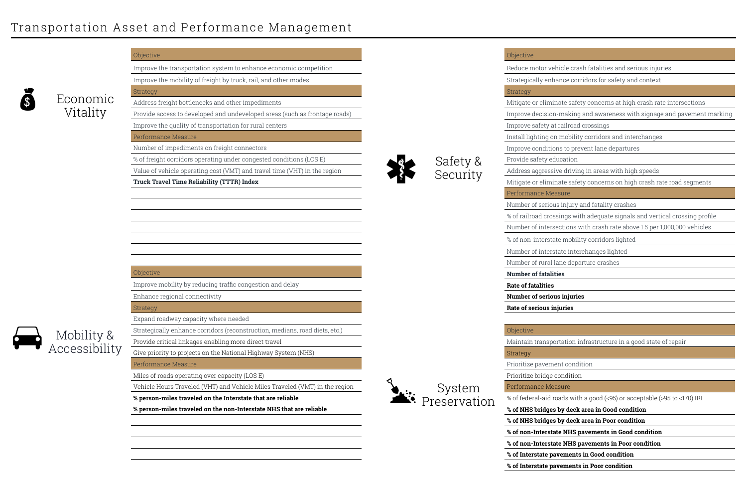

# Economic Vitality

Mobility & Accessibility



Reduce motor vehicle crash fatalities and serious injuries

Strategically enhance corridors for safety and context

Strategy

| Objective                                                                   |                      |
|-----------------------------------------------------------------------------|----------------------|
| Improve the transportation system to enhance economic competition           |                      |
| Improve the mobility of freight by truck, rail, and other modes             |                      |
| Strategy                                                                    |                      |
| Address freight bottlenecks and other impediments                           |                      |
| Provide access to developed and undeveloped areas (such as frontage roads)  |                      |
| Improve the quality of transportation for rural centers                     |                      |
| Performance Measure                                                         |                      |
| Number of impediments on freight connectors                                 |                      |
| % of freight corridors operating under congested conditions (LOS E)         |                      |
| Value of vehicle operating cost (VMT) and travel time (VHT) in the region   | Safety &<br>Security |
| <b>Truck Travel Time Reliability (TTTR) Index</b>                           |                      |
|                                                                             |                      |
|                                                                             |                      |
|                                                                             |                      |
|                                                                             |                      |
|                                                                             |                      |
|                                                                             |                      |
|                                                                             |                      |
| Objective                                                                   |                      |
| Improve mobility by reducing traffic congestion and delay                   |                      |
| Enhance regional connectivity                                               |                      |
| Strategy                                                                    |                      |
| Expand roadway capacity where needed                                        |                      |
| Strategically enhance corridors (reconstruction, medians, road diets, etc.) |                      |
| Provide critical linkages enabling more direct travel                       |                      |
| Give priority to projects on the National Highway System (NHS)              |                      |
| Performance Measure                                                         |                      |
| Miles of roads operating over capacity (LOS E)                              |                      |
| Vehicle Hours Traveled (VHT) and Vehicle Miles Traveled (VMT) in the region | System               |
| % person-miles traveled on the Interstate that are reliable                 | Preservatio          |
| % person-miles traveled on the non-Interstate NHS that are reliable         |                      |

Mitigate or eliminate safety concerns at high crash rate intersections

Improve decision-making and awareness with signage and pavement marking

Improve safety at railroad crossings

Install lighting on mobility corridors and interchanges

Improve conditions to prevent lane departures

Provide safety education

**Objective** 

Address aggressive driving in areas with high speeds

Mitigate or eliminate safety concerns on high crash rate road segments

Performance Measure

Number of serious injury and fatality crashes

% of railroad crossings with adequate signals and vertical crossing profile

Number of intersections with crash rate above 1.5 per 1,000,000 vehicles

% of non-interstate mobility corridors lighted Number of interstate interchanges lighted Number of rural lane departure crashes **Number of fatalities Rate of fatalities Number of serious injuries Rate of serious injuries Objective** Maintain transportation infrastructure in a good state of repair Strategy Prioritize pavement condition Prioritize bridge condition Performance Measure % of federal-aid roads with a good (<95) or acceptable (>95 to <170) IRI **% of NHS bridges by deck area in Good condition % of NHS bridges by deck area in Poor condition % of non-Interstate NHS pavements in Good condition** 

**% of non-Interstate NHS pavements in Poor condition**

**% of Interstate pavements in Good condition**

**% of Interstate pavements in Poor condition**

## Transportation Asset and Performance Management